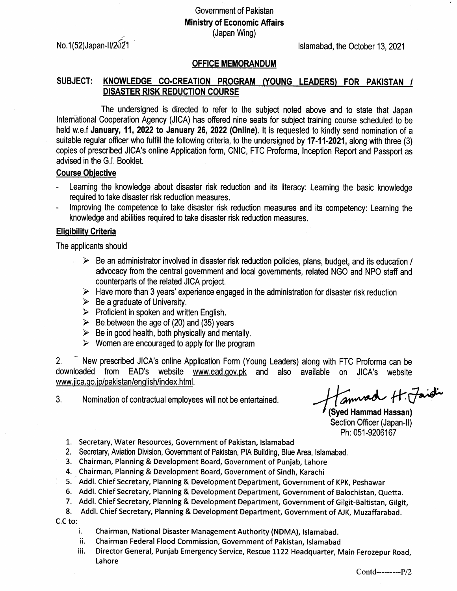# Government of Pakistan Ministry of Economic Affairs (Japan Wing)

 $No.1(52)$ Japan-II/ $2\hat{1}\hat{2}$ 

## OFFICE MEMORANDUM

## SUBJECT: KNOWLEDGE CO-CREATION PROGRAM (YOUNG LEADERS) FOR PAKISTAN / DISASTER RISK REDUCTION COURSE

The undersigned is directed to refer to the subject noted above and to state that Japan lnternationa! Cooperation Agency (JICA) has offered nine seats for subject training course scheduled to be held w.e.f January, 11, 2022 to January 26, 2022 (Online). It is requested to kindly send nomination of a suitable regular officer who fulfill the following criteria, to the undersigned by 17-11-2021, along with three (3) copies of prescribed JICA's online Application form, CNIC, FTC Proforma, lnception Report and Passport as advised in the G.l, Booklet.

#### Course Obiective

- Learning the knowledge about disaster risk reduction and its literacy: Learning the basic knowledge required to take disaster risk reduction measures.
- Improving the competence to take disaster risk reduction measures and its competency: Learning the knowledge and abilities required to take disaster risk reduction measures.

## **Eligibility Criteria**

The applicants should

- $\triangleright$  Be an administrator involved in disaster risk reduction policies, plans, budget, and its education / advocacy from the central government and local governments, related NGO and NPO staff and counterparts of the related JICA project.
- $\triangleright$  Have more than 3 years' experience engaged in the administration for disaster risk reduction
- $\triangleright$  Be a graduate of University.
- $\triangleright$  Proficient in spoken and written English.
- $\triangleright$  Be between the age of (20) and (35) years
- $\triangleright$  Be in good health, both physically and mentally.
- $\triangleright$  Women are encouraged to apply for the program

2. <sup>T</sup> New prescribed JICA's online Application Form (Young Leaders) along with FTC Proforma can be downloaded from EAD's website www.ead.gov.pk and also available on JICA's website  $2<sub>1</sub>$ <u>www.jica.go.jp/pakistan/english/index.html</u>.

3. Nomination of contractual employees will not be entertained. Hammad ++. Faid

(Syed Hammad Hassan) Section Officer (Japan-II) Ph: 051-9206167

- 1. Secretary, Water Resources, Government of Pakistan, Islamabad
- 2. Secretary, Aviation Division, Government of Pakistan, PIA Building, Blue Area, Islamabad
- Chairman, Planning & Development Board, Government of Punjab, Lahore 3
- Chairman, Planning & Development Board, Government of Sindh, Karachi 4
- 5. Addl. Chief Secretary, Planning & Development Department, Government of KPK, Peshawar
- 6. Addl. Chief Secretary, Planning & Development Department, Government of Balochistan, Quetta.
- 7. Addl. Chief Secretary, Planning & Development Department, Government of Gilgit-Baltistan, Gilgit,
- Addl. Chief Secretary, Planning & Development Department, Government of AJK, Muzaffarabad. 8 C.C to
	- chairman, National Disaster Management Authority (NDMA), lslamabad. t.
	- Chairman Federal Flood Commission, Government of Pakistan, Islamabad ii.
	- Director General, Punjab Emergency Service, Rescue 1122 Headquarter, Main Ferozepur Road, Lahore iii.

Contd---------P/2